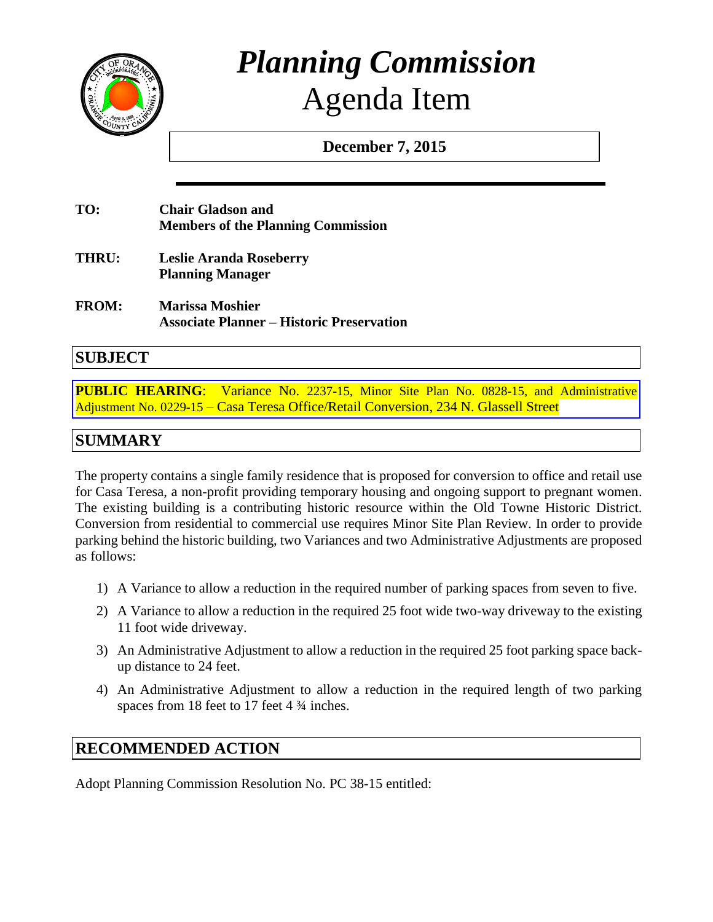

# *Planning Commission* Agenda Item

**December 7, 2015**

| TO: | <b>Chair Gladson and</b>                  |
|-----|-------------------------------------------|
|     | <b>Members of the Planning Commission</b> |

- **THRU: Leslie Aranda Roseberry Planning Manager**
- **FROM: Marissa Moshier Associate Planner – Historic Preservation**

## **SUBJECT**

**PUBLIC HEARING:** Variance No. 2237-15, Minor Site Plan No. 0828-15, and Administrative Adjustment No. 0229-15 – [Casa Teresa Office/Retail Conversion, 234 N. Glassell Street](http://www.cityoforange.org/civicax/filebank/blobdload.aspx?BlobID=16902)

# **SUMMARY**

The property contains a single family residence that is proposed for conversion to office and retail use for Casa Teresa, a non-profit providing temporary housing and ongoing support to pregnant women. The existing building is a contributing historic resource within the Old Towne Historic District. Conversion from residential to commercial use requires Minor Site Plan Review. In order to provide parking behind the historic building, two Variances and two Administrative Adjustments are proposed as follows:

- 1) A Variance to allow a reduction in the required number of parking spaces from seven to five.
- 2) A Variance to allow a reduction in the required 25 foot wide two-way driveway to the existing 11 foot wide driveway.
- 3) An Administrative Adjustment to allow a reduction in the required 25 foot parking space backup distance to 24 feet.
- 4) An Administrative Adjustment to allow a reduction in the required length of two parking spaces from 18 feet to 17 feet 4  $\frac{3}{4}$  inches.

# **RECOMMENDED ACTION**

Adopt Planning Commission Resolution No. PC 38-15 entitled: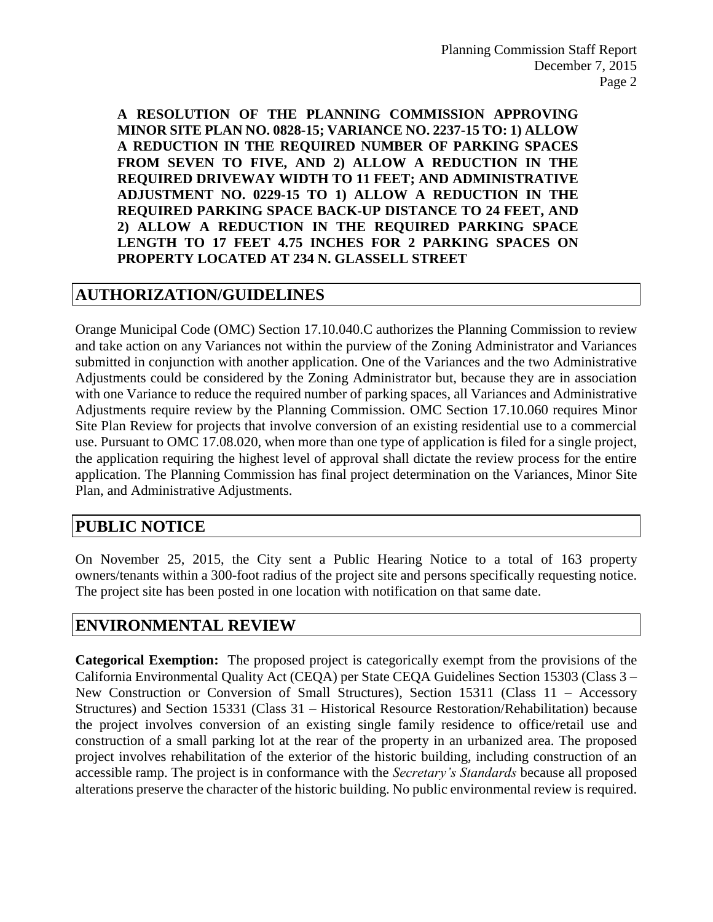**A RESOLUTION OF THE PLANNING COMMISSION APPROVING MINOR SITE PLAN NO. 0828-15; VARIANCE NO. 2237-15 TO: 1) ALLOW A REDUCTION IN THE REQUIRED NUMBER OF PARKING SPACES FROM SEVEN TO FIVE, AND 2) ALLOW A REDUCTION IN THE REQUIRED DRIVEWAY WIDTH TO 11 FEET; AND ADMINISTRATIVE ADJUSTMENT NO. 0229-15 TO 1) ALLOW A REDUCTION IN THE REQUIRED PARKING SPACE BACK-UP DISTANCE TO 24 FEET, AND 2) ALLOW A REDUCTION IN THE REQUIRED PARKING SPACE LENGTH TO 17 FEET 4.75 INCHES FOR 2 PARKING SPACES ON PROPERTY LOCATED AT 234 N. GLASSELL STREET**

## **AUTHORIZATION/GUIDELINES**

Orange Municipal Code (OMC) Section 17.10.040.C authorizes the Planning Commission to review and take action on any Variances not within the purview of the Zoning Administrator and Variances submitted in conjunction with another application. One of the Variances and the two Administrative Adjustments could be considered by the Zoning Administrator but, because they are in association with one Variance to reduce the required number of parking spaces, all Variances and Administrative Adjustments require review by the Planning Commission. OMC Section 17.10.060 requires Minor Site Plan Review for projects that involve conversion of an existing residential use to a commercial use. Pursuant to OMC 17.08.020, when more than one type of application is filed for a single project, the application requiring the highest level of approval shall dictate the review process for the entire application. The Planning Commission has final project determination on the Variances, Minor Site Plan, and Administrative Adjustments.

## **PUBLIC NOTICE**

On November 25, 2015, the City sent a Public Hearing Notice to a total of 163 property owners/tenants within a 300-foot radius of the project site and persons specifically requesting notice. The project site has been posted in one location with notification on that same date.

## **ENVIRONMENTAL REVIEW**

**Categorical Exemption:** The proposed project is categorically exempt from the provisions of the California Environmental Quality Act (CEQA) per State CEQA Guidelines Section 15303 (Class 3 – New Construction or Conversion of Small Structures), Section 15311 (Class 11 – Accessory Structures) and Section 15331 (Class 31 – Historical Resource Restoration/Rehabilitation) because the project involves conversion of an existing single family residence to office/retail use and construction of a small parking lot at the rear of the property in an urbanized area. The proposed project involves rehabilitation of the exterior of the historic building, including construction of an accessible ramp. The project is in conformance with the *Secretary's Standards* because all proposed alterations preserve the character of the historic building. No public environmental review is required.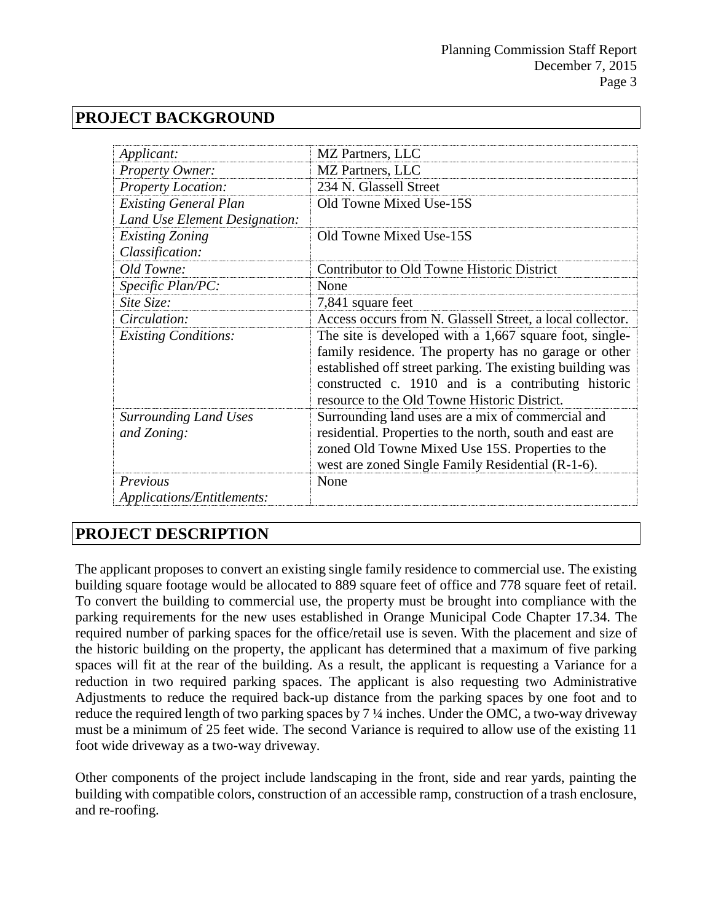# **PROJECT BACKGROUND**

| Applicant:                                  | MZ Partners, LLC                                                                                                                                                                                                                                                                    |  |  |
|---------------------------------------------|-------------------------------------------------------------------------------------------------------------------------------------------------------------------------------------------------------------------------------------------------------------------------------------|--|--|
| Property Owner:                             | MZ Partners, LLC                                                                                                                                                                                                                                                                    |  |  |
| <b>Property Location:</b>                   | 234 N. Glassell Street                                                                                                                                                                                                                                                              |  |  |
| <b>Existing General Plan</b>                | Old Towne Mixed Use-15S                                                                                                                                                                                                                                                             |  |  |
| Land Use Element Designation:               |                                                                                                                                                                                                                                                                                     |  |  |
| <b>Existing Zoning</b>                      | Old Towne Mixed Use-15S                                                                                                                                                                                                                                                             |  |  |
| Classification:                             |                                                                                                                                                                                                                                                                                     |  |  |
| Old Towne:                                  | Contributor to Old Towne Historic District                                                                                                                                                                                                                                          |  |  |
| Specific Plan/PC:                           | None                                                                                                                                                                                                                                                                                |  |  |
| Site Size:                                  | 7,841 square feet                                                                                                                                                                                                                                                                   |  |  |
| Circulation:                                | Access occurs from N. Glassell Street, a local collector.                                                                                                                                                                                                                           |  |  |
| <b>Existing Conditions:</b>                 | The site is developed with a 1,667 square foot, single-<br>family residence. The property has no garage or other<br>established off street parking. The existing building was<br>constructed c. 1910 and is a contributing historic<br>resource to the Old Towne Historic District. |  |  |
| <b>Surrounding Land Uses</b><br>and Zoning: | Surrounding land uses are a mix of commercial and<br>residential. Properties to the north, south and east are<br>zoned Old Towne Mixed Use 15S. Properties to the<br>west are zoned Single Family Residential (R-1-6).                                                              |  |  |
| Previous<br>Applications/Entitlements:      | None                                                                                                                                                                                                                                                                                |  |  |

# **PROJECT DESCRIPTION**

The applicant proposes to convert an existing single family residence to commercial use. The existing building square footage would be allocated to 889 square feet of office and 778 square feet of retail. To convert the building to commercial use, the property must be brought into compliance with the parking requirements for the new uses established in Orange Municipal Code Chapter 17.34. The required number of parking spaces for the office/retail use is seven. With the placement and size of the historic building on the property, the applicant has determined that a maximum of five parking spaces will fit at the rear of the building. As a result, the applicant is requesting a Variance for a reduction in two required parking spaces. The applicant is also requesting two Administrative Adjustments to reduce the required back-up distance from the parking spaces by one foot and to reduce the required length of two parking spaces by 7 ¼ inches. Under the OMC, a two-way driveway must be a minimum of 25 feet wide. The second Variance is required to allow use of the existing 11 foot wide driveway as a two-way driveway.

Other components of the project include landscaping in the front, side and rear yards, painting the building with compatible colors, construction of an accessible ramp, construction of a trash enclosure, and re-roofing.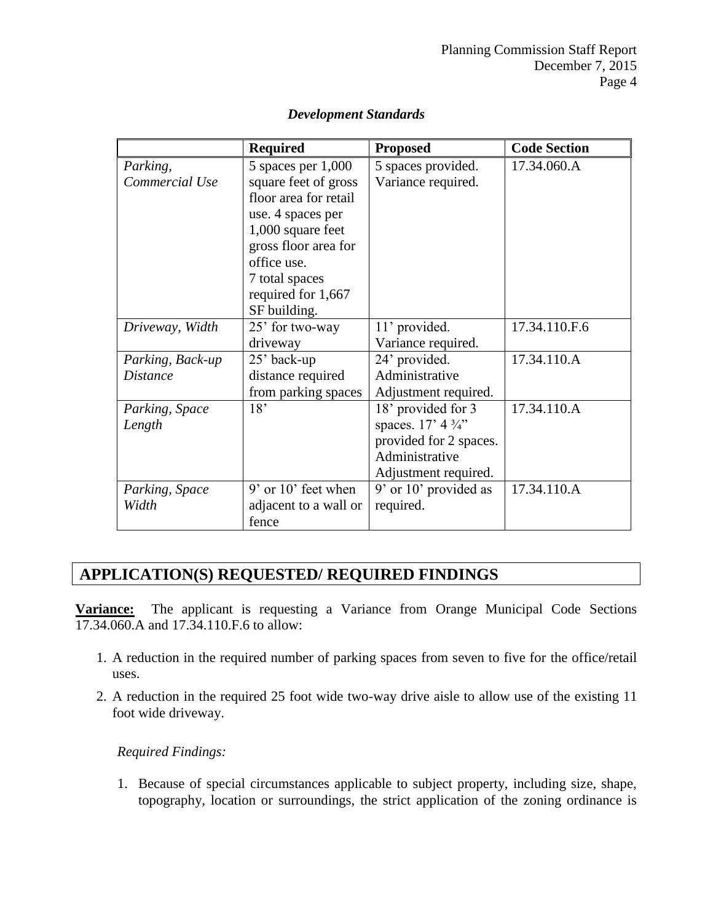|                  | <b>Required</b>         | <b>Proposed</b>            | <b>Code Section</b> |
|------------------|-------------------------|----------------------------|---------------------|
| Parking,         | 5 spaces per 1,000      | 5 spaces provided.         | 17.34.060.A         |
| Commercial Use   | square feet of gross    | Variance required.         |                     |
|                  | floor area for retail   |                            |                     |
|                  | use. 4 spaces per       |                            |                     |
|                  | 1,000 square feet       |                            |                     |
|                  | gross floor area for    |                            |                     |
|                  | office use.             |                            |                     |
|                  | 7 total spaces          |                            |                     |
|                  | required for 1,667      |                            |                     |
|                  | SF building.            |                            |                     |
| Driveway, Width  | 25' for two-way         | 11' provided.              | 17.34.110.F.6       |
|                  | driveway                | Variance required.         |                     |
| Parking, Back-up | 25' back-up             | 24' provided.              | 17.34.110.A         |
| <b>Distance</b>  | distance required       | Administrative             |                     |
|                  | from parking spaces     | Adjustment required.       |                     |
| Parking, Space   | 18'                     | 18' provided for 3         | 17.34.110.A         |
| Length           |                         | spaces. $17' 4\frac{3}{4}$ |                     |
|                  |                         | provided for 2 spaces.     |                     |
|                  |                         | Administrative             |                     |
|                  |                         | Adjustment required.       |                     |
| Parking, Space   | $9'$ or $10'$ feet when | 9' or 10' provided as      | 17.34.110.A         |
| Width            | adjacent to a wall or   | required.                  |                     |
|                  | fence                   |                            |                     |

#### *Development Standards*

## **APPLICATION(S) REQUESTED/ REQUIRED FINDINGS**

**Variance:** The applicant is requesting a Variance from Orange Municipal Code Sections 17.34.060.A and 17.34.110.F.6 to allow:

- 1. A reduction in the required number of parking spaces from seven to five for the office/retail uses.
- 2. A reduction in the required 25 foot wide two-way drive aisle to allow use of the existing 11 foot wide driveway.

#### *Required Findings:*

1. Because of special circumstances applicable to subject property, including size, shape, topography, location or surroundings, the strict application of the zoning ordinance is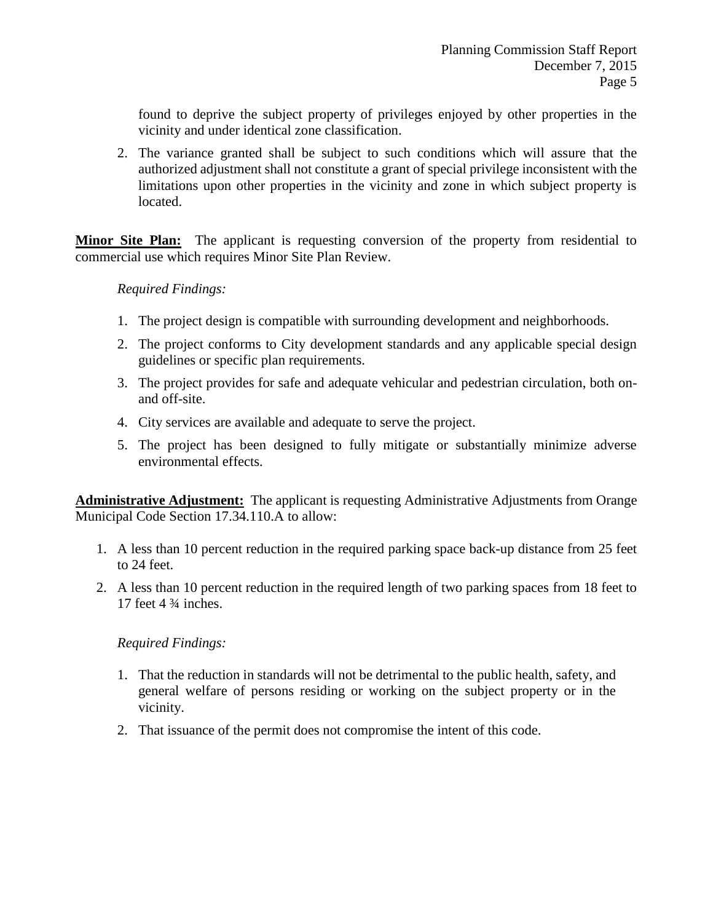found to deprive the subject property of privileges enjoyed by other properties in the vicinity and under identical zone classification.

2. The variance granted shall be subject to such conditions which will assure that the authorized adjustment shall not constitute a grant of special privilege inconsistent with the limitations upon other properties in the vicinity and zone in which subject property is located.

**Minor Site Plan:** The applicant is requesting conversion of the property from residential to commercial use which requires Minor Site Plan Review.

#### *Required Findings:*

- 1. The project design is compatible with surrounding development and neighborhoods.
- 2. The project conforms to City development standards and any applicable special design guidelines or specific plan requirements.
- 3. The project provides for safe and adequate vehicular and pedestrian circulation, both onand off-site.
- 4. City services are available and adequate to serve the project.
- 5. The project has been designed to fully mitigate or substantially minimize adverse environmental effects.

**Administrative Adjustment:** The applicant is requesting Administrative Adjustments from Orange Municipal Code Section 17.34.110.A to allow:

- 1. A less than 10 percent reduction in the required parking space back-up distance from 25 feet to 24 feet.
- 2. A less than 10 percent reduction in the required length of two parking spaces from 18 feet to 17 feet  $4\frac{3}{4}$  inches.

#### *Required Findings:*

- 1. That the reduction in standards will not be detrimental to the public health, safety, and general welfare of persons residing or working on the subject property or in the vicinity.
- 2. That issuance of the permit does not compromise the intent of this code.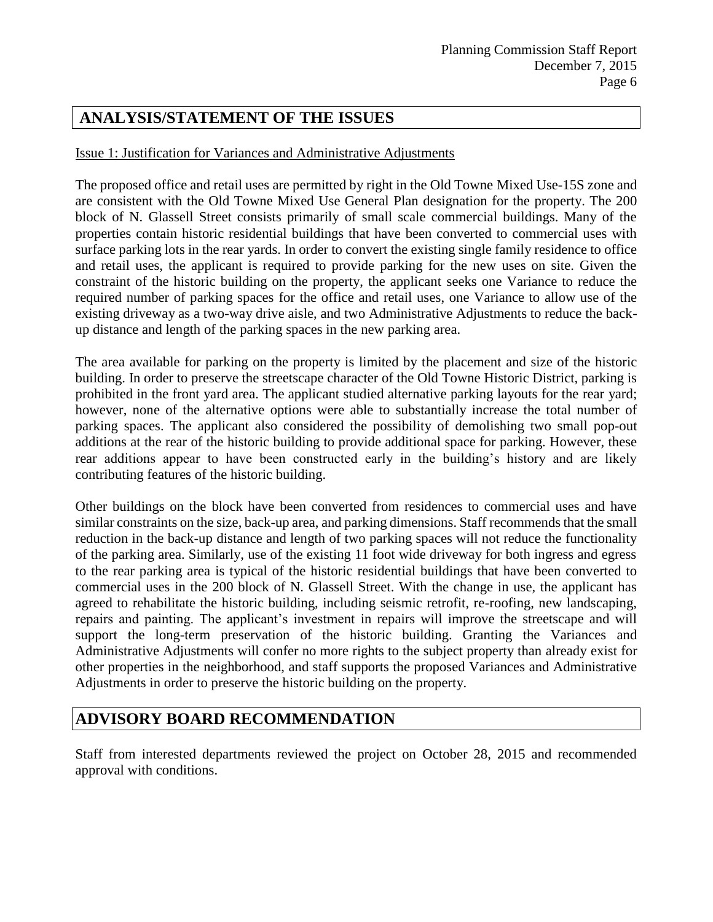# **ANALYSIS/STATEMENT OF THE ISSUES**

#### Issue 1: Justification for Variances and Administrative Adjustments

The proposed office and retail uses are permitted by right in the Old Towne Mixed Use-15S zone and are consistent with the Old Towne Mixed Use General Plan designation for the property. The 200 block of N. Glassell Street consists primarily of small scale commercial buildings. Many of the properties contain historic residential buildings that have been converted to commercial uses with surface parking lots in the rear yards. In order to convert the existing single family residence to office and retail uses, the applicant is required to provide parking for the new uses on site. Given the constraint of the historic building on the property, the applicant seeks one Variance to reduce the required number of parking spaces for the office and retail uses, one Variance to allow use of the existing driveway as a two-way drive aisle, and two Administrative Adjustments to reduce the backup distance and length of the parking spaces in the new parking area.

The area available for parking on the property is limited by the placement and size of the historic building. In order to preserve the streetscape character of the Old Towne Historic District, parking is prohibited in the front yard area. The applicant studied alternative parking layouts for the rear yard; however, none of the alternative options were able to substantially increase the total number of parking spaces. The applicant also considered the possibility of demolishing two small pop-out additions at the rear of the historic building to provide additional space for parking. However, these rear additions appear to have been constructed early in the building's history and are likely contributing features of the historic building.

Other buildings on the block have been converted from residences to commercial uses and have similar constraints on the size, back-up area, and parking dimensions. Staff recommends that the small reduction in the back-up distance and length of two parking spaces will not reduce the functionality of the parking area. Similarly, use of the existing 11 foot wide driveway for both ingress and egress to the rear parking area is typical of the historic residential buildings that have been converted to commercial uses in the 200 block of N. Glassell Street. With the change in use, the applicant has agreed to rehabilitate the historic building, including seismic retrofit, re-roofing, new landscaping, repairs and painting. The applicant's investment in repairs will improve the streetscape and will support the long-term preservation of the historic building. Granting the Variances and Administrative Adjustments will confer no more rights to the subject property than already exist for other properties in the neighborhood, and staff supports the proposed Variances and Administrative Adjustments in order to preserve the historic building on the property.

# **ADVISORY BOARD RECOMMENDATION**

Staff from interested departments reviewed the project on October 28, 2015 and recommended approval with conditions.